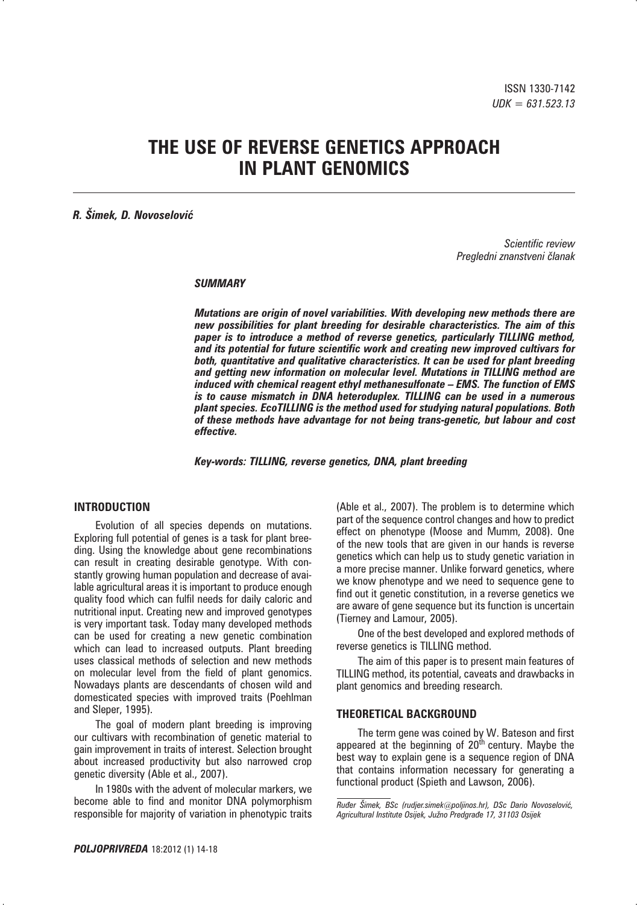# **THE USE OF REVERSE GENETICS APPROACH IN PLANT GENOMICS**

## *R. Šimek, D. Novoselović*

*Scientific review Pregledni znanstveni ~lanak*

#### *SUMMARY*

*Mutations are origin of novel variabilities. With developing new methods there are new possibilities for plant breeding for desirable characteristics. The aim of this paper is to introduce a method of reverse genetics, particularly TILLING method, and its potential for future scientific work and creating new improved cultivars for both, quantitative and qualitative characteristics. It can be used for plant breeding and getting new information on molecular level. Mutations in TILLING method are induced with chemical reagent ethyl methanesulfonate – EMS. The function of EMS is to cause mismatch in DNA heteroduplex. TILLING can be used in a numerous plant species. EcoTILLING is the method used for studying natural populations. Both of these methods have advantage for not being trans-genetic, but labour and cost effective.*

*Key-words: TILLING, reverse genetics, DNA, plant breeding*

## **INTRODUCTION**

Evolution of all species depends on mutations. Exploring full potential of genes is a task for plant breeding. Using the knowledge about gene recombinations can result in creating desirable genotype. With constantly growing human population and decrease of available agricultural areas it is important to produce enough quality food which can fulfil needs for daily caloric and nutritional input. Creating new and improved genotypes is very important task. Today many developed methods can be used for creating a new genetic combination which can lead to increased outputs. Plant breeding uses classical methods of selection and new methods on molecular level from the field of plant genomics. Nowadays plants are descendants of chosen wild and domesticated species with improved traits (Poehlman and Sleper, 1995).

The goal of modern plant breeding is improving our cultivars with recombination of genetic material to gain improvement in traits of interest. Selection brought about increased productivity but also narrowed crop genetic diversity (Able et al., 2007).

In 1980s with the advent of molecular markers, we become able to find and monitor DNA polymorphism responsible for majority of variation in phenotypic traits

(Able et al., 2007). The problem is to determine which part of the sequence control changes and how to predict effect on phenotype (Moose and Mumm, 2008). One of the new tools that are given in our hands is reverse genetics which can help us to study genetic variation in a more precise manner. Unlike forward genetics, where we know phenotype and we need to sequence gene to find out it genetic constitution, in a reverse genetics we are aware of gene sequence but its function is uncertain (Tierney and Lamour, 2005).

One of the best developed and explored methods of reverse genetics is TILLING method.

The aim of this paper is to present main features of TILLING method, its potential, caveats and drawbacks in plant genomics and breeding research.

#### **THEORETICAL BACKGROUND**

The term gene was coined by W. Bateson and first appeared at the beginning of  $20<sup>th</sup>$  century. Maybe the best way to explain gene is a sequence region of DNA that contains information necessary for generating a functional product (Spieth and Lawson, 2006).

 $R$ uđer Šimek, BSc (rudjer.simek<sup>@</sup>poljinos.hr), DSc Dario Novoselović, *Agricultural Institute Osijek, Ju`no Predgra|e 17, 31103 Osijek*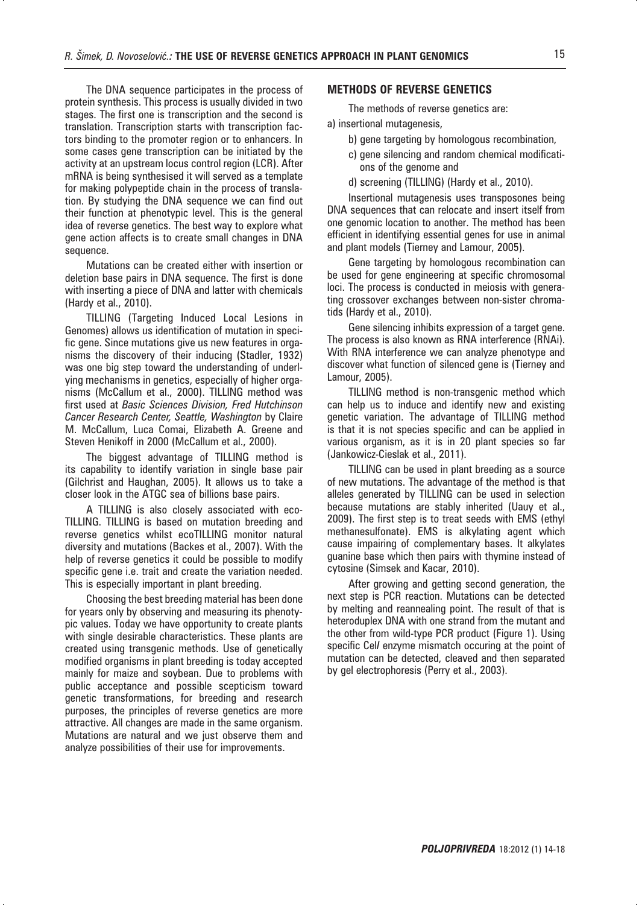The DNA sequence participates in the process of protein synthesis. This process is usually divided in two stages. The first one is transcription and the second is translation. Transcription starts with transcription factors binding to the promoter region or to enhancers. In some cases gene transcription can be initiated by the activity at an upstream locus control region (LCR). After mRNA is being synthesised it will served as a template for making polypeptide chain in the process of translation. By studying the DNA sequence we can find out their function at phenotypic level. This is the general idea of reverse genetics. The best way to explore what gene action affects is to create small changes in DNA sequence.

Mutations can be created either with insertion or deletion base pairs in DNA sequence. The first is done with inserting a piece of DNA and latter with chemicals (Hardy et al., 2010).

TILLING (Targeting Induced Local Lesions in Genomes) allows us identification of mutation in specific gene. Since mutations give us new features in organisms the discovery of their inducing (Stadler, 1932) was one big step toward the understanding of underlying mechanisms in genetics, especially of higher organisms (McCallum et al., 2000). TILLING method was first used at *Basic Sciences Division, Fred Hutchinson Cancer Research Center, Seattle, Washington* by Claire M. McCallum, Luca Comai, Elizabeth A. Greene and Steven Henikoff in 2000 (McCallum et al., 2000).

The biggest advantage of TILLING method is its capability to identify variation in single base pair (Gilchrist and Haughan, 2005). It allows us to take a closer look in the ATGC sea of billions base pairs.

A TILLING is also closely associated with eco-TILLING. TILLING is based on mutation breeding and reverse genetics whilst ecoTILLING monitor natural diversity and mutations (Backes et al., 2007). With the help of reverse genetics it could be possible to modify specific gene i.e. trait and create the variation needed. This is especially important in plant breeding.

Choosing the best breeding material has been done for years only by observing and measuring its phenotypic values. Today we have opportunity to create plants with single desirable characteristics. These plants are created using transgenic methods. Use of genetically modified organisms in plant breeding is today accepted mainly for maize and soybean. Due to problems with public acceptance and possible scepticism toward genetic transformations, for breeding and research purposes, the principles of reverse genetics are more attractive. All changes are made in the same organism. Mutations are natural and we just observe them and analyze possibilities of their use for improvements.

## **METHODS OF REVERSE GENETICS**

The methods of reverse genetics are:

- a) insertional mutagenesis,
	- b) gene targeting by homologous recombination,
	- c) gene silencing and random chemical modifications of the genome and
	- d) screening (TILLING) (Hardy et al., 2010).

Insertional mutagenesis uses transposones being DNA sequences that can relocate and insert itself from one genomic location to another. The method has been efficient in identifying essential genes for use in animal and plant models (Tierney and Lamour, 2005).

Gene targeting by homologous recombination can be used for gene engineering at specific chromosomal loci. The process is conducted in meiosis with generating crossover exchanges between non-sister chromatids (Hardy et al., 2010).

Gene silencing inhibits expression of a target gene. The process is also known as RNA interference (RNAi). With RNA interference we can analyze phenotype and discover what function of silenced gene is (Tierney and Lamour, 2005).

TILLING method is non-transgenic method which can help us to induce and identify new and existing genetic variation. The advantage of TILLING method is that it is not species specific and can be applied in various organism, as it is in 20 plant species so far (Jankowicz-Cieslak et al., 2011).

TILLING can be used in plant breeding as a source of new mutations. The advantage of the method is that alleles generated by TILLING can be used in selection because mutations are stably inherited (Uauy et al., 2009). The first step is to treat seeds with EMS (ethyl methanesulfonate). EMS is alkylating agent which cause impairing of complementary bases. It alkylates guanine base which then pairs with thymine instead of cytosine (Simsek and Kacar, 2010).

After growing and getting second generation, the next step is PCR reaction. Mutations can be detected by melting and reannealing point. The result of that is heteroduplex DNA with one strand from the mutant and the other from wild-type PCR product (Figure 1). Using specific Cel*I* enzyme mismatch occuring at the point of mutation can be detected, cleaved and then separated by gel electrophoresis (Perry et al., 2003).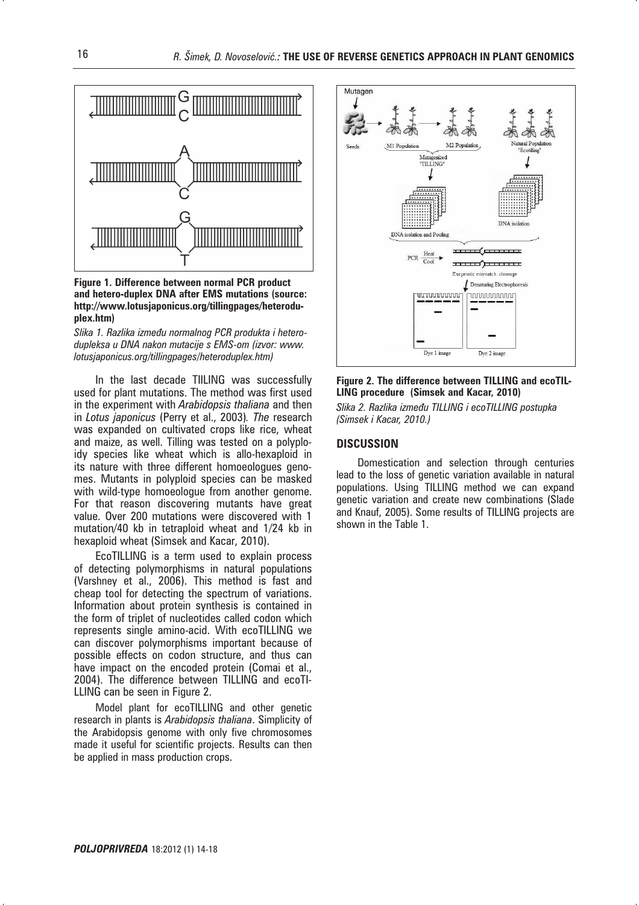

**Figure 1. Difference between normal PCR product and hetero-duplex DNA after EMS mutations (source: http://www.lotusjaponicus.org/tillingpages/heteroduplex.htm)**

Slika 1. Razlika između normalnog PCR produkta i hetero*dupleksa u DNA nakon mutacije s EMS-om (izvor: www. lotusjaponicus.org/tillingpages/heteroduplex.htm)*

In the last decade TIILING was successfully used for plant mutations. The method was first used in the experiment with *Arabidopsis thaliana* and then in *Lotus japonicus* (Perry et al., 2003)*. The* research was expanded on cultivated crops like rice, wheat and maize, as well. Tilling was tested on a polyploidy species like wheat which is allo-hexaploid in its nature with three different homoeologues genomes. Mutants in polyploid species can be masked with wild-type homoeologue from another genome. For that reason discovering mutants have great value. Over 200 mutations were discovered with 1 mutation/40 kb in tetraploid wheat and 1/24 kb in hexaploid wheat (Simsek and Kacar, 2010).

EcoTILLING is a term used to explain process of detecting polymorphisms in natural populations (Varshney et al., 2006). This method is fast and cheap tool for detecting the spectrum of variations. Information about protein synthesis is contained in the form of triplet of nucleotides called codon which represents single amino-acid. With ecoTILLING we can discover polymorphisms important because of possible effects on codon structure, and thus can have impact on the encoded protein (Comai et al., 2004). The difference between TILLING and ecoTI-LLING can be seen in Figure 2.

Model plant for ecoTILLING and other genetic research in plants is *Arabidopsis thaliana*. Simplicity of the Arabidopsis genome with only five chromosomes made it useful for scientific projects. Results can then be applied in mass production crops.



## **Figure 2. The difference between TILLING and ecoTIL-LING procedure (Simsek and Kacar, 2010)**

*Slika 2. Razlika između TILLING i ecoTILLING postupka (Simsek i Kacar, 2010.)*

## **DISCUSSION**

Domestication and selection through centuries lead to the loss of genetic variation available in natural populations. Using TILLING method we can expand genetic variation and create new combinations (Slade and Knauf, 2005). Some results of TILLING projects are shown in the Table 1.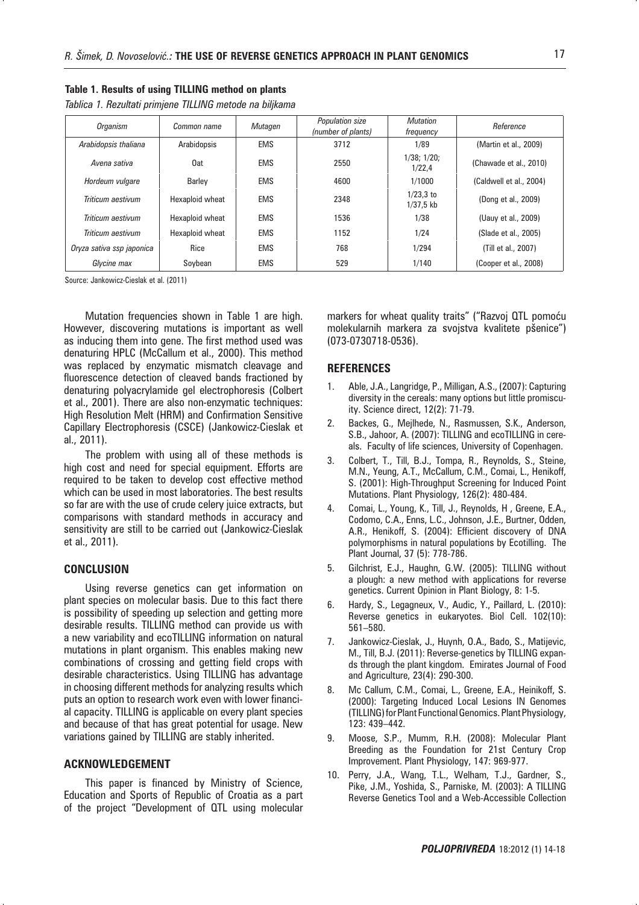#### **Table 1. Results of using TILLING method on plants**

| Tablica 1. Rezultati primjene TILLING metode na biljkama |  |  |  |
|----------------------------------------------------------|--|--|--|
|----------------------------------------------------------|--|--|--|

| <b>Organism</b>           | Common name     | Mutagen    | Population size<br>(number of plants) | <b>Mutation</b><br>frequency | Reference               |
|---------------------------|-----------------|------------|---------------------------------------|------------------------------|-------------------------|
| Arabidopsis thaliana      | Arabidopsis     | <b>EMS</b> | 3712                                  | 1/89                         | (Martin et al., 2009)   |
| Avena sativa              | 0at             | <b>EMS</b> | 2550                                  | $1/38$ ; $1/20$ ;<br>1/22.4  | (Chawade et al., 2010)  |
| Hordeum vulgare           | <b>Barley</b>   | <b>EMS</b> | 4600                                  | 1/1000                       | (Caldwell et al., 2004) |
| Triticum aestivum         | Hexaploid wheat | <b>EMS</b> | 2348                                  | $1/23.3$ to<br>$1/37.5$ kb   | (Dong et al., 2009)     |
| Triticum aestivum         | Hexaploid wheat | <b>EMS</b> | 1536                                  | 1/38                         | (Uauy et al., 2009)     |
| Triticum aestivum         | Hexaploid wheat | <b>EMS</b> | 1152                                  | 1/24                         | (Slade et al., 2005)    |
| Oryza sativa ssp japonica | Rice            | <b>EMS</b> | 768                                   | 1/294                        | (Till et al., 2007)     |
| Glycine max               | Soybean         | <b>EMS</b> | 529                                   | 1/140                        | (Cooper et al., 2008)   |

Source: Jankowicz-Cieslak et al. (2011)

Mutation frequencies shown in Table 1 are high. However, discovering mutations is important as well as inducing them into gene. The first method used was denaturing HPLC (McCallum et al., 2000). This method was replaced by enzymatic mismatch cleavage and fluorescence detection of cleaved bands fractioned by denaturing polyacrylamide gel electrophoresis (Colbert et al., 2001). There are also non-enzymatic techniques: High Resolution Melt (HRM) and Confirmation Sensitive Capillary Electrophoresis (CSCE) (Jankowicz-Cieslak et al., 2011).

The problem with using all of these methods is high cost and need for special equipment. Efforts are required to be taken to develop cost effective method which can be used in most laboratories. The best results so far are with the use of crude celery juice extracts, but comparisons with standard methods in accuracy and sensitivity are still to be carried out (Jankowicz-Cieslak et al., 2011).

### **CONCLUSION**

Using reverse genetics can get information on plant species on molecular basis. Due to this fact there is possibility of speeding up selection and getting more desirable results. TILLING method can provide us with a new variability and ecoTILLING information on natural mutations in plant organism. This enables making new combinations of crossing and getting field crops with desirable characteristics. Using TILLING has advantage in choosing different methods for analyzing results which puts an option to research work even with lower financial capacity. TILLING is applicable on every plant species and because of that has great potential for usage. New variations gained by TILLING are stably inherited.

#### **ACKNOWLEDGEMENT**

This paper is financed by Ministry of Science, Education and Sports of Republic of Croatia as a part of the project "Development of QTL using molecular

markers for wheat quality traits" ("Razvoj QTL pomoću molekularnih markera za svojstva kvalitete pšenice") (073-0730718-0536).

#### **REFERENCES**

- 1. Able, J.A., Langridge, P., Milligan, A.S., (2007): Capturing diversity in the cereals: many options but little promiscuity. Science direct, 12(2): 71-79.
- 2. Backes, G., Mejlhede, N., Rasmussen, S.K., Anderson, S.B., Jahoor, A. (2007): TILLING and ecoTILLING in cereals. Faculty of life sciences, University of Copenhagen.
- 3. Colbert, T., Till, B.J., Tompa, R., Reynolds, S., Steine, M.N., Yeung, A.T., McCallum, C.M., Comai, L., Henikoff, S. (2001): High-Throughput Screening for Induced Point Mutations. Plant Physiology, 126(2): 480-484.
- 4. Comai, L., Young, K., Till, J., Reynolds, H , Greene, E.A., Codomo, C.A., Enns, L.C., Johnson, J.E., Burtner, Odden, A.R., Henikoff, S. (2004): Efficient discovery of DNA polymorphisms in natural populations by Ecotilling. The Plant Journal, 37 (5): 778-786.
- 5. Gilchrist, E.J., Haughn, G.W. (2005): TILLING without a plough: a new method with applications for reverse genetics. Current Opinion in Plant Biology, 8: 1-5.
- 6. Hardy, S., Legagneux, V., Audic, Y., Paillard, L. (2010): Reverse genetics in eukaryotes. Biol Cell. 102(10): 561–580.
- 7. Jankowicz-Cieslak, J., Huynh, O.A., Bado, S., Matijevic, M., Till, B.J. (2011): Reverse-genetics by TILLING expands through the plant kingdom. Emirates Journal of Food and Agriculture, 23(4): 290-300.
- 8. Mc Callum, C.M., Comai, L., Greene, E.A., Heinikoff, S. (2000): Targeting Induced Local Lesions IN Genomes (TILLING) for Plant Functional Genomics. Plant Physiology, 123: 439–442.
- 9. Moose, S.P., Mumm, R.H. (2008): Molecular Plant Breeding as the Foundation for 21st Century Crop Improvement. Plant Physiology, 147: 969-977.
- 10. Perry, J.A., Wang, T.L., Welham, T.J., Gardner, S., Pike, J.M., Yoshida, S., Parniske, M. (2003): A TILLING Reverse Genetics Tool and a Web-Accessible Collection